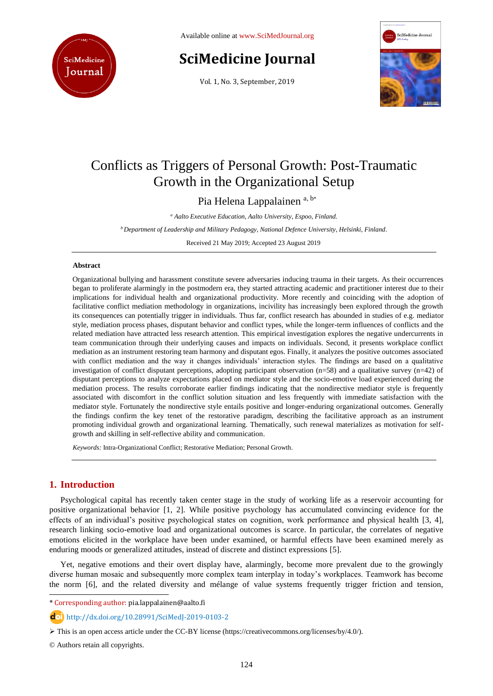

Available online at [www.SciMedJournal.org](http://www.scimedjournal.org/)

# **SciMedicine Journal**

Vol. 1, No. 3, September, 2019



# Conflicts as Triggers of Personal Growth: Post-Traumatic Growth in the Organizational Setup

Pia Helena Lappalainen a, b\*

*<sup>a</sup> Aalto Executive Education, Aalto University, Espoo, Finland.*

*<sup>b</sup>Department of Leadership and Military Pedagogy, National Defence University, Helsinki, Finland.*

Received 21 May 2019; Accepted 23 August 2019

# **Abstract**

Organizational bullying and harassment constitute severe adversaries inducing trauma in their targets. As their occurrences began to proliferate alarmingly in the postmodern era, they started attracting academic and practitioner interest due to their implications for individual health and organizational productivity. More recently and coinciding with the adoption of facilitative conflict mediation methodology in organizations, incivility has increasingly been explored through the growth its consequences can potentially trigger in individuals. Thus far, conflict research has abounded in studies of e.g. mediator style, mediation process phases, disputant behavior and conflict types, while the longer-term influences of conflicts and the related mediation have attracted less research attention. This empirical investigation explores the negative undercurrents in team communication through their underlying causes and impacts on individuals. Second, it presents workplace conflict mediation as an instrument restoring team harmony and disputant egos. Finally, it analyzes the positive outcomes associated with conflict mediation and the way it changes individuals' interaction styles. The findings are based on a qualitative investigation of conflict disputant perceptions, adopting participant observation (n=58) and a qualitative survey (n=42) of disputant perceptions to analyze expectations placed on mediator style and the socio-emotive load experienced during the mediation process. The results corroborate earlier findings indicating that the nondirective mediator style is frequently associated with discomfort in the conflict solution situation and less frequently with immediate satisfaction with the mediator style. Fortunately the nondirective style entails positive and longer-enduring organizational outcomes. Generally the findings confirm the key tenet of the restorative paradigm, describing the facilitative approach as an instrument promoting individual growth and organizational learning. Thematically, such renewal materializes as motivation for selfgrowth and skilling in self-reflective ability and communication.

*Keywords:* Intra-Organizational Conflict; Restorative Mediation; Personal Growth.

# **1. Introduction**

l

Psychological capital has recently taken center stage in the study of working life as a reservoir accounting for positive organizational behavior [1, 2]. While positive psychology has accumulated convincing evidence for the effects of an individual's positive psychological states on cognition, work performance and physical health [3, 4], research linking socio-emotive load and organizational outcomes is scarce. In particular, the correlates of negative emotions elicited in the workplace have been under examined, or harmful effects have been examined merely as enduring moods or generalized attitudes, instead of discrete and distinct expressions [5].

Yet, negative emotions and their overt display have, alarmingly, become more prevalent due to the growingly diverse human mosaic and subsequently more complex team interplay in today's workplaces. Teamwork has become the norm [6], and the related diversity and mélange of value systems frequently trigger friction and tension,

\* Corresponding author: pia.lappalainen@aalto.fi

http://dx.doi.org/10.28991/SciMedJ-2019-0103-2

© Authors retain all copyrights.

This is an open access article under the CC-BY license [\(https://creativecommons.org/licenses/by/4.0/\)](https://creativecommons.org/licenses/by/4.0/).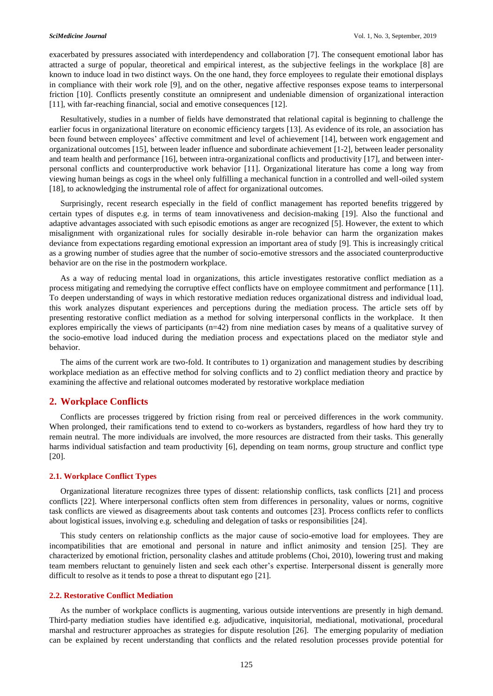exacerbated by pressures associated with interdependency and collaboration [7]. The consequent emotional labor has attracted a surge of popular, theoretical and empirical interest, as the subjective feelings in the workplace [8] are known to induce load in two distinct ways. On the one hand, they force employees to regulate their emotional displays in compliance with their work role [9], and on the other, negative affective responses expose teams to interpersonal friction [10]. Conflicts presently constitute an omnipresent and undeniable dimension of organizational interaction [11], with far-reaching financial, social and emotive consequences [12].

Resultatively, studies in a number of fields have demonstrated that relational capital is beginning to challenge the earlier focus in organizational literature on economic efficiency targets [13]. As evidence of its role, an association has been found between employees' affective commitment and level of achievement [14], between work engagement and organizational outcomes [15], between leader influence and subordinate achievement [1-2], between leader personality and team health and performance [16], between intra-organizational conflicts and productivity [17], and between interpersonal conflicts and counterproductive work behavior [11]. Organizational literature has come a long way from viewing human beings as cogs in the wheel only fulfilling a mechanical function in a controlled and well-oiled system [18], to acknowledging the instrumental role of affect for organizational outcomes.

Surprisingly, recent research especially in the field of conflict management has reported benefits triggered by certain types of disputes e.g. in terms of team innovativeness and decision-making [19]. Also the functional and adaptive advantages associated with such episodic emotions as anger are recognized [5]. However, the extent to which misalignment with organizational rules for socially desirable in-role behavior can harm the organization makes deviance from expectations regarding emotional expression an important area of study [9]. This is increasingly critical as a growing number of studies agree that the number of socio-emotive stressors and the associated counterproductive behavior are on the rise in the postmodern workplace.

As a way of reducing mental load in organizations, this article investigates restorative conflict mediation as a process mitigating and remedying the corruptive effect conflicts have on employee commitment and performance [11]. To deepen understanding of ways in which restorative mediation reduces organizational distress and individual load, this work analyzes disputant experiences and perceptions during the mediation process. The article sets off by presenting restorative conflict mediation as a method for solving interpersonal conflicts in the workplace. It then explores empirically the views of participants (n=42) from nine mediation cases by means of a qualitative survey of the socio-emotive load induced during the mediation process and expectations placed on the mediator style and behavior.

The aims of the current work are two-fold. It contributes to 1) organization and management studies by describing workplace mediation as an effective method for solving conflicts and to 2) conflict mediation theory and practice by examining the affective and relational outcomes moderated by restorative workplace mediation

# **2. Workplace Conflicts**

Conflicts are processes triggered by friction rising from real or perceived differences in the work community. When prolonged, their ramifications tend to extend to co-workers as bystanders, regardless of how hard they try to remain neutral. The more individuals are involved, the more resources are distracted from their tasks. This generally harms individual satisfaction and team productivity [6], depending on team norms, group structure and conflict type [20].

# **2.1. Workplace Conflict Types**

Organizational literature recognizes three types of dissent: relationship conflicts, task conflicts [21] and process conflicts [22]. Where interpersonal conflicts often stem from differences in personality, values or norms, cognitive task conflicts are viewed as disagreements about task contents and outcomes [23]. Process conflicts refer to conflicts about logistical issues, involving e.g. scheduling and delegation of tasks or responsibilities [24].

This study centers on relationship conflicts as the major cause of socio-emotive load for employees. They are incompatibilities that are emotional and personal in nature and inflict animosity and tension [25]. They are characterized by emotional friction, personality clashes and attitude problems (Choi, 2010), lowering trust and making team members reluctant to genuinely listen and seek each other's expertise. Interpersonal dissent is generally more difficult to resolve as it tends to pose a threat to disputant ego [21].

# **2.2. Restorative Conflict Mediation**

As the number of workplace conflicts is augmenting, various outside interventions are presently in high demand. Third-party mediation studies have identified e.g. adjudicative, inquisitorial, mediational, motivational, procedural marshal and restructurer approaches as strategies for dispute resolution [26]. The emerging popularity of mediation can be explained by recent understanding that conflicts and the related resolution processes provide potential for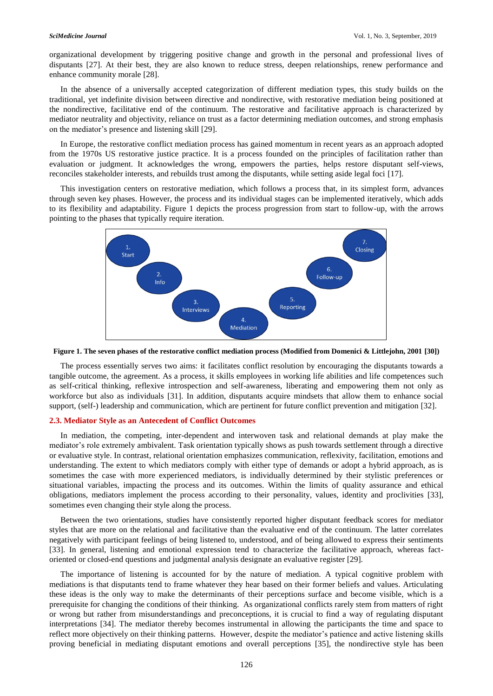organizational development by triggering positive change and growth in the personal and professional lives of disputants [27]. At their best, they are also known to reduce stress, deepen relationships, renew performance and enhance community morale [28].

In the absence of a universally accepted categorization of different mediation types, this study builds on the traditional, yet indefinite division between directive and nondirective, with restorative mediation being positioned at the nondirective, facilitative end of the continuum. The restorative and facilitative approach is characterized by mediator neutrality and objectivity, reliance on trust as a factor determining mediation outcomes, and strong emphasis on the mediator's presence and listening skill [29].

In Europe, the restorative conflict mediation process has gained momentum in recent years as an approach adopted from the 1970s US restorative justice practice. It is a process founded on the principles of facilitation rather than evaluation or judgment. It acknowledges the wrong, empowers the parties, helps restore disputant self-views, reconciles stakeholder interests, and rebuilds trust among the disputants, while setting aside legal foci [17].

This investigation centers on restorative mediation, which follows a process that, in its simplest form, advances through seven key phases. However, the process and its individual stages can be implemented iteratively, which adds to its flexibility and adaptability. Figure 1 depicts the process progression from start to follow-up, with the arrows pointing to the phases that typically require iteration.





The process essentially serves two aims: it facilitates conflict resolution by encouraging the disputants towards a tangible outcome, the agreement. As a process, it skills employees in working life abilities and life competences such as self-critical thinking, reflexive introspection and self-awareness, liberating and empowering them not only as workforce but also as individuals [31]. In addition, disputants acquire mindsets that allow them to enhance social support, (self-) leadership and communication, which are pertinent for future conflict prevention and mitigation [32].

## **2.3. Mediator Style as an Antecedent of Conflict Outcomes**

In mediation, the competing, inter-dependent and interwoven task and relational demands at play make the mediator's role extremely ambivalent. Task orientation typically shows as push towards settlement through a directive or evaluative style. In contrast, relational orientation emphasizes communication, reflexivity, facilitation, emotions and understanding. The extent to which mediators comply with either type of demands or adopt a hybrid approach, as is sometimes the case with more experienced mediators, is individually determined by their stylistic preferences or situational variables, impacting the process and its outcomes. Within the limits of quality assurance and ethical obligations, mediators implement the process according to their personality, values, identity and proclivities [33], sometimes even changing their style along the process.

Between the two orientations, studies have consistently reported higher disputant feedback scores for mediator styles that are more on the relational and facilitative than the evaluative end of the continuum. The latter correlates negatively with participant feelings of being listened to, understood, and of being allowed to express their sentiments [33]. In general, listening and emotional expression tend to characterize the facilitative approach, whereas factoriented or closed-end questions and judgmental analysis designate an evaluative register [29].

The importance of listening is accounted for by the nature of mediation. A typical cognitive problem with mediations is that disputants tend to frame whatever they hear based on their former beliefs and values. Articulating these ideas is the only way to make the determinants of their perceptions surface and become visible, which is a prerequisite for changing the conditions of their thinking. As organizational conflicts rarely stem from matters of right or wrong but rather from misunderstandings and preconceptions, it is crucial to find a way of regulating disputant interpretations [34]. The mediator thereby becomes instrumental in allowing the participants the time and space to reflect more objectively on their thinking patterns. However, despite the mediator's patience and active listening skills proving beneficial in mediating disputant emotions and overall perceptions [35], the nondirective style has been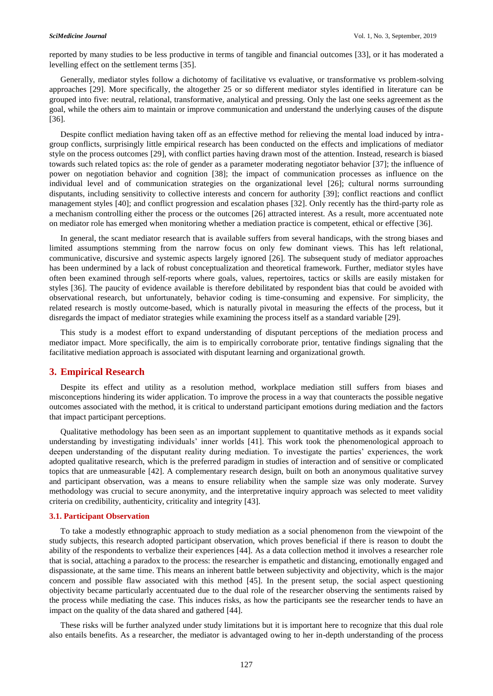reported by many studies to be less productive in terms of tangible and financial outcomes [33], or it has moderated a levelling effect on the settlement terms [35].

Generally, mediator styles follow a dichotomy of facilitative vs evaluative, or transformative vs problem-solving approaches [29]. More specifically, the altogether 25 or so different mediator styles identified in literature can be grouped into five: neutral, relational, transformative, analytical and pressing. Only the last one seeks agreement as the goal, while the others aim to maintain or improve communication and understand the underlying causes of the dispute [36].

Despite conflict mediation having taken off as an effective method for relieving the mental load induced by intragroup conflicts, surprisingly little empirical research has been conducted on the effects and implications of mediator style on the process outcomes [29], with conflict parties having drawn most of the attention. Instead, research is biased towards such related topics as: the role of gender as a parameter moderating negotiator behavior [37]; the influence of power on negotiation behavior and cognition [38]; the impact of communication processes as influence on the individual level and of communication strategies on the organizational level [26]; cultural norms surrounding disputants, including sensitivity to collective interests and concern for authority [39]; conflict reactions and conflict management styles [40]; and conflict progression and escalation phases [32]. Only recently has the third-party role as a mechanism controlling either the process or the outcomes [26] attracted interest. As a result, more accentuated note on mediator role has emerged when monitoring whether a mediation practice is competent, ethical or effective [36].

In general, the scant mediator research that is available suffers from several handicaps, with the strong biases and limited assumptions stemming from the narrow focus on only few dominant views. This has left relational, communicative, discursive and systemic aspects largely ignored [26]. The subsequent study of mediator approaches has been undermined by a lack of robust conceptualization and theoretical framework. Further, mediator styles have often been examined through self-reports where goals, values, repertoires, tactics or skills are easily mistaken for styles [36]. The paucity of evidence available is therefore debilitated by respondent bias that could be avoided with observational research, but unfortunately, behavior coding is time-consuming and expensive. For simplicity, the related research is mostly outcome-based, which is naturally pivotal in measuring the effects of the process, but it disregards the impact of mediator strategies while examining the process itself as a standard variable [29].

This study is a modest effort to expand understanding of disputant perceptions of the mediation process and mediator impact. More specifically, the aim is to empirically corroborate prior, tentative findings signaling that the facilitative mediation approach is associated with disputant learning and organizational growth.

# **3. Empirical Research**

Despite its effect and utility as a resolution method, workplace mediation still suffers from biases and misconceptions hindering its wider application. To improve the process in a way that counteracts the possible negative outcomes associated with the method, it is critical to understand participant emotions during mediation and the factors that impact participant perceptions.

Qualitative methodology has been seen as an important supplement to quantitative methods as it expands social understanding by investigating individuals' inner worlds [41]. This work took the phenomenological approach to deepen understanding of the disputant reality during mediation. To investigate the parties' experiences, the work adopted qualitative research, which is the preferred paradigm in studies of interaction and of sensitive or complicated topics that are unmeasurable [42]. A complementary research design, built on both an anonymous qualitative survey and participant observation, was a means to ensure reliability when the sample size was only moderate. Survey methodology was crucial to secure anonymity, and the interpretative inquiry approach was selected to meet validity criteria on credibility, authenticity, criticality and integrity [43].

# **3.1. Participant Observation**

To take a modestly ethnographic approach to study mediation as a social phenomenon from the viewpoint of the study subjects, this research adopted participant observation, which proves beneficial if there is reason to doubt the ability of the respondents to verbalize their experiences [44]. As a data collection method it involves a researcher role that is social, attaching a paradox to the process: the researcher is empathetic and distancing, emotionally engaged and dispassionate, at the same time. This means an inherent battle between subjectivity and objectivity, which is the major concern and possible flaw associated with this method [45]. In the present setup, the social aspect questioning objectivity became particularly accentuated due to the dual role of the researcher observing the sentiments raised by the process while mediating the case. This induces risks, as how the participants see the researcher tends to have an impact on the quality of the data shared and gathered [44].

These risks will be further analyzed under study limitations but it is important here to recognize that this dual role also entails benefits. As a researcher, the mediator is advantaged owing to her in-depth understanding of the process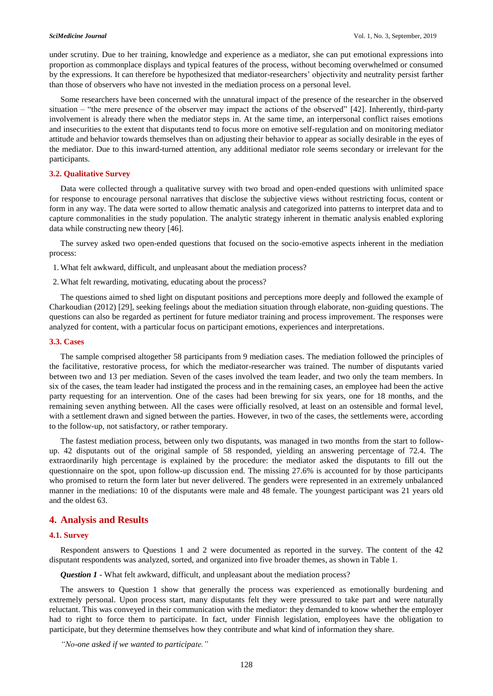under scrutiny. Due to her training, knowledge and experience as a mediator, she can put emotional expressions into proportion as commonplace displays and typical features of the process, without becoming overwhelmed or consumed by the expressions. It can therefore be hypothesized that mediator-researchers' objectivity and neutrality persist farther than those of observers who have not invested in the mediation process on a personal level.

Some researchers have been concerned with the unnatural impact of the presence of the researcher in the observed situation – "the mere presence of the observer may impact the actions of the observed" [42]. Inherently, third-party involvement is already there when the mediator steps in. At the same time, an interpersonal conflict raises emotions and insecurities to the extent that disputants tend to focus more on emotive self-regulation and on monitoring mediator attitude and behavior towards themselves than on adjusting their behavior to appear as socially desirable in the eyes of the mediator. Due to this inward-turned attention, any additional mediator role seems secondary or irrelevant for the participants.

### **3.2. Qualitative Survey**

Data were collected through a qualitative survey with two broad and open-ended questions with unlimited space for response to encourage personal narratives that disclose the subjective views without restricting focus, content or form in any way. The data were sorted to allow thematic analysis and categorized into patterns to interpret data and to capture commonalities in the study population. The analytic strategy inherent in thematic analysis enabled exploring data while constructing new theory [46].

The survey asked two open-ended questions that focused on the socio-emotive aspects inherent in the mediation process:

1. What felt awkward, difficult, and unpleasant about the mediation process?

2. What felt rewarding, motivating, educating about the process?

The questions aimed to shed light on disputant positions and perceptions more deeply and followed the example of Charkoudian (2012) [29], seeking feelings about the mediation situation through elaborate, non-guiding questions. The questions can also be regarded as pertinent for future mediator training and process improvement. The responses were analyzed for content, with a particular focus on participant emotions, experiences and interpretations.

### **3.3. Cases**

The sample comprised altogether 58 participants from 9 mediation cases. The mediation followed the principles of the facilitative, restorative process, for which the mediator-researcher was trained. The number of disputants varied between two and 13 per mediation. Seven of the cases involved the team leader, and two only the team members. In six of the cases, the team leader had instigated the process and in the remaining cases, an employee had been the active party requesting for an intervention. One of the cases had been brewing for six years, one for 18 months, and the remaining seven anything between. All the cases were officially resolved, at least on an ostensible and formal level, with a settlement drawn and signed between the parties. However, in two of the cases, the settlements were, according to the follow-up, not satisfactory, or rather temporary.

The fastest mediation process, between only two disputants, was managed in two months from the start to followup. 42 disputants out of the original sample of 58 responded, yielding an answering percentage of 72.4. The extraordinarily high percentage is explained by the procedure: the mediator asked the disputants to fill out the questionnaire on the spot, upon follow-up discussion end. The missing 27.6% is accounted for by those participants who promised to return the form later but never delivered. The genders were represented in an extremely unbalanced manner in the mediations: 10 of the disputants were male and 48 female. The youngest participant was 21 years old and the oldest 63.

# **4. Analysis and Results**

### **4.1. Survey**

Respondent answers to Questions 1 and 2 were documented as reported in the survey. The content of the 42 disputant respondents was analyzed, sorted, and organized into five broader themes, as shown in Table 1.

*Question 1* - What felt awkward, difficult, and unpleasant about the mediation process?

The answers to Question 1 show that generally the process was experienced as emotionally burdening and extremely personal. Upon process start, many disputants felt they were pressured to take part and were naturally reluctant. This was conveyed in their communication with the mediator: they demanded to know whether the employer had to right to force them to participate. In fact, under Finnish legislation, employees have the obligation to participate, but they determine themselves how they contribute and what kind of information they share.

*"No-one asked if we wanted to participate."*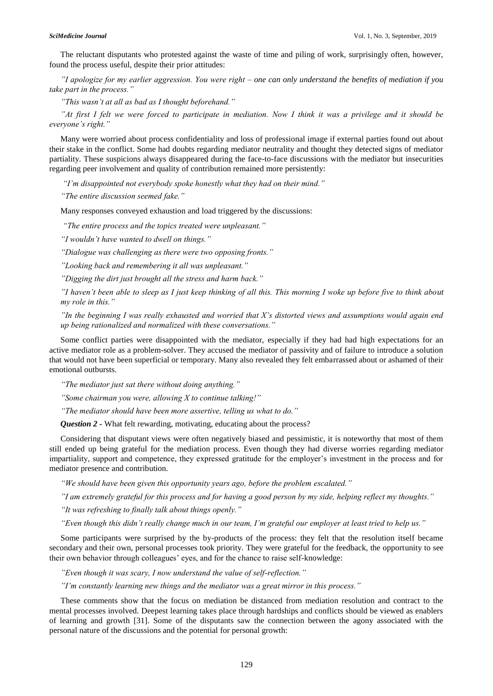The reluctant disputants who protested against the waste of time and piling of work, surprisingly often, however, found the process useful, despite their prior attitudes:

*"I apologize for my earlier aggression. You were right – one can only understand the benefits of mediation if you take part in the process."* 

*"This wasn't at all as bad as I thought beforehand."*

*"At first I felt we were forced to participate in mediation. Now I think it was a privilege and it should be everyone's right."* 

Many were worried about process confidentiality and loss of professional image if external parties found out about their stake in the conflict. Some had doubts regarding mediator neutrality and thought they detected signs of mediator partiality. These suspicions always disappeared during the face-to-face discussions with the mediator but insecurities regarding peer involvement and quality of contribution remained more persistently:

*"I'm disappointed not everybody spoke honestly what they had on their mind."*

*"The entire discussion seemed fake."* 

Many responses conveyed exhaustion and load triggered by the discussions:

*"The entire process and the topics treated were unpleasant."* 

*"I wouldn't have wanted to dwell on things."*

*"Dialogue was challenging as there were two opposing fronts."*

*"Looking back and remembering it all was unpleasant."*

*"Digging the dirt just brought all the stress and harm back."*

*"I haven't been able to sleep as I just keep thinking of all this. This morning I woke up before five to think about my role in this."* 

*"In the beginning I was really exhausted and worried that X's distorted views and assumptions would again end up being rationalized and normalized with these conversations."* 

Some conflict parties were disappointed with the mediator, especially if they had had high expectations for an active mediator role as a problem-solver. They accused the mediator of passivity and of failure to introduce a solution that would not have been superficial or temporary. Many also revealed they felt embarrassed about or ashamed of their emotional outbursts.

*"The mediator just sat there without doing anything."*

*"Some chairman you were, allowing X to continue talking!"*

*"The mediator should have been more assertive, telling us what to do."*

*Question 2 -* What felt rewarding, motivating, educating about the process?

Considering that disputant views were often negatively biased and pessimistic, it is noteworthy that most of them still ended up being grateful for the mediation process. Even though they had diverse worries regarding mediator impartiality, support and competence, they expressed gratitude for the employer's investment in the process and for mediator presence and contribution.

*"We should have been given this opportunity years ago, before the problem escalated."*

*"I am extremely grateful for this process and for having a good person by my side, helping reflect my thoughts."* 

*"It was refreshing to finally talk about things openly."*

*"Even though this didn't really change much in our team, I'm grateful our employer at least tried to help us."*

Some participants were surprised by the by-products of the process: they felt that the resolution itself became secondary and their own, personal processes took priority. They were grateful for the feedback, the opportunity to see their own behavior through colleagues' eyes, and for the chance to raise self-knowledge:

*"Even though it was scary, I now understand the value of self-reflection."*

*"I'm constantly learning new things and the mediator was a great mirror in this process."*

These comments show that the focus on mediation be distanced from mediation resolution and contract to the mental processes involved. Deepest learning takes place through hardships and conflicts should be viewed as enablers of learning and growth [31]. Some of the disputants saw the connection between the agony associated with the personal nature of the discussions and the potential for personal growth: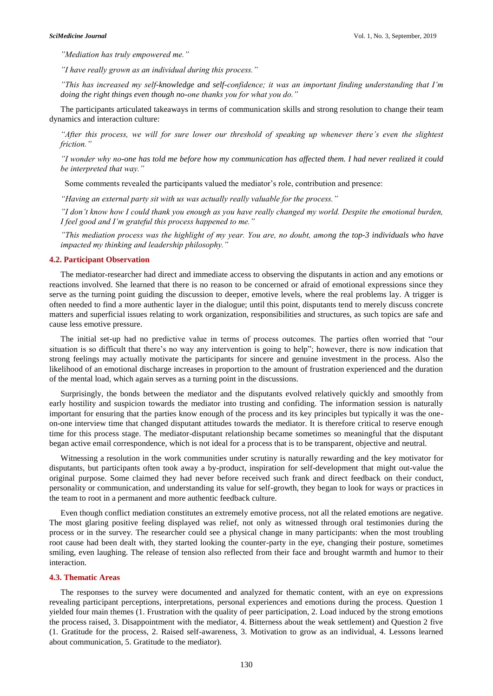*"Mediation has truly empowered me."*

*"I have really grown as an individual during this process."*

*"This has increased my self-knowledge and self-confidence; it was an important finding understanding that I'm doing the right things even though no-one thanks you for what you do."*

The participants articulated takeaways in terms of communication skills and strong resolution to change their team dynamics and interaction culture:

*"After this process, we will for sure lower our threshold of speaking up whenever there's even the slightest friction."*

*"I wonder why no-one has told me before how my communication has affected them. I had never realized it could be interpreted that way."*

Some comments revealed the participants valued the mediator's role, contribution and presence:

*"Having an external party sit with us was actually really valuable for the process."*

*"I don't know how I could thank you enough as you have really changed my world. Despite the emotional burden, I feel good and I'm grateful this process happened to me."* 

*"This mediation process was the highlight of my year. You are, no doubt, among the top-3 individuals who have impacted my thinking and leadership philosophy."* 

## **4.2. Participant Observation**

The mediator-researcher had direct and immediate access to observing the disputants in action and any emotions or reactions involved. She learned that there is no reason to be concerned or afraid of emotional expressions since they serve as the turning point guiding the discussion to deeper, emotive levels, where the real problems lay. A trigger is often needed to find a more authentic layer in the dialogue; until this point, disputants tend to merely discuss concrete matters and superficial issues relating to work organization, responsibilities and structures, as such topics are safe and cause less emotive pressure.

The initial set-up had no predictive value in terms of process outcomes. The parties often worried that "our situation is so difficult that there's no way any intervention is going to help"; however, there is now indication that strong feelings may actually motivate the participants for sincere and genuine investment in the process. Also the likelihood of an emotional discharge increases in proportion to the amount of frustration experienced and the duration of the mental load, which again serves as a turning point in the discussions.

Surprisingly, the bonds between the mediator and the disputants evolved relatively quickly and smoothly from early hostility and suspicion towards the mediator into trusting and confiding. The information session is naturally important for ensuring that the parties know enough of the process and its key principles but typically it was the oneon-one interview time that changed disputant attitudes towards the mediator. It is therefore critical to reserve enough time for this process stage. The mediator-disputant relationship became sometimes so meaningful that the disputant began active email correspondence, which is not ideal for a process that is to be transparent, objective and neutral.

Witnessing a resolution in the work communities under scrutiny is naturally rewarding and the key motivator for disputants, but participants often took away a by-product, inspiration for self-development that might out-value the original purpose. Some claimed they had never before received such frank and direct feedback on their conduct, personality or communication, and understanding its value for self-growth, they began to look for ways or practices in the team to root in a permanent and more authentic feedback culture.

Even though conflict mediation constitutes an extremely emotive process, not all the related emotions are negative. The most glaring positive feeling displayed was relief, not only as witnessed through oral testimonies during the process or in the survey. The researcher could see a physical change in many participants: when the most troubling root cause had been dealt with, they started looking the counter-party in the eye, changing their posture, sometimes smiling, even laughing. The release of tension also reflected from their face and brought warmth and humor to their interaction.

# **4.3. Thematic Areas**

The responses to the survey were documented and analyzed for thematic content, with an eye on expressions revealing participant perceptions, interpretations, personal experiences and emotions during the process. Question 1 yielded four main themes (1. Frustration with the quality of peer participation, 2. Load induced by the strong emotions the process raised, 3. Disappointment with the mediator, 4. Bitterness about the weak settlement) and Question 2 five (1. Gratitude for the process, 2. Raised self-awareness, 3. Motivation to grow as an individual, 4. Lessons learned about communication, 5. Gratitude to the mediator).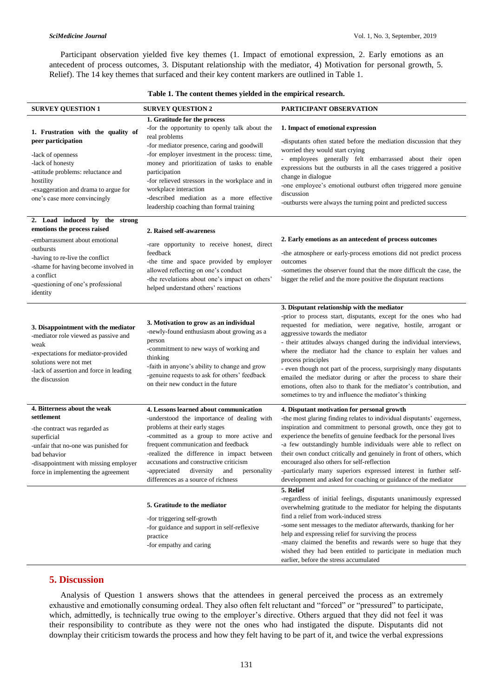Participant observation yielded five key themes (1. Impact of emotional expression, 2. Early emotions as an antecedent of process outcomes, 3. Disputant relationship with the mediator, 4) Motivation for personal growth, 5. Relief). The 14 key themes that surfaced and their key content markers are outlined in Table 1.

**Table 1. The content themes yielded in the empirical research.**

| <b>SURVEY QUESTION 1</b>                                                                                                                                                                                                                               | <b>SURVEY QUESTION 2</b>                                                                                                                                                                                                                                                                                                                                                                                                            | PARTICIPANT OBSERVATION                                                                                                                                                                                                                                                                                                                                                                                                                                                                                                                                                                                                                                 |
|--------------------------------------------------------------------------------------------------------------------------------------------------------------------------------------------------------------------------------------------------------|-------------------------------------------------------------------------------------------------------------------------------------------------------------------------------------------------------------------------------------------------------------------------------------------------------------------------------------------------------------------------------------------------------------------------------------|---------------------------------------------------------------------------------------------------------------------------------------------------------------------------------------------------------------------------------------------------------------------------------------------------------------------------------------------------------------------------------------------------------------------------------------------------------------------------------------------------------------------------------------------------------------------------------------------------------------------------------------------------------|
| 1. Frustration with the quality of<br>peer participation<br>-lack of openness<br>-lack of honesty<br>-attitude problems: reluctance and<br>hostility<br>-exaggeration and drama to argue for<br>one's case more convincingly                           | 1. Gratitude for the process<br>-for the opportunity to openly talk about the<br>real problems<br>-for mediator presence, caring and goodwill<br>-for employer investment in the process: time,<br>money and prioritization of tasks to enable<br>participation<br>-for relieved stressors in the workplace and in<br>workplace interaction<br>-described mediation as a more effective<br>leadership coaching than formal training | 1. Impact of emotional expression<br>-disputants often stated before the mediation discussion that they<br>worried they would start crying<br>- employees generally felt embarrassed about their open<br>expressions but the outbursts in all the cases triggered a positive<br>change in dialogue<br>-one employee's emotional outburst often triggered more genuine<br>discussion<br>-outbursts were always the turning point and predicted success                                                                                                                                                                                                   |
| 2. Load induced by the strong<br>emotions the process raised<br>-embarrassment about emotional<br>outbursts<br>-having to re-live the conflict<br>-shame for having become involved in<br>a conflict<br>-questioning of one's professional<br>identity | 2. Raised self-awareness<br>-rare opportunity to receive honest, direct<br>feedback<br>-the time and space provided by employer<br>allowed reflecting on one's conduct<br>-the revelations about one's impact on others'<br>helped understand others' reactions                                                                                                                                                                     | 2. Early emotions as an antecedent of process outcomes<br>-the atmosphere or early-process emotions did not predict process<br>outcomes<br>-sometimes the observer found that the more difficult the case, the<br>bigger the relief and the more positive the disputant reactions                                                                                                                                                                                                                                                                                                                                                                       |
| 3. Disappointment with the mediator<br>-mediator role viewed as passive and<br>weak<br>-expectations for mediator-provided<br>solutions were not met<br>-lack of assertion and force in leading<br>the discussion                                      | 3. Motivation to grow as an individual<br>-newly-found enthusiasm about growing as a<br>person<br>-commitment to new ways of working and<br>thinking<br>-faith in anyone's ability to change and grow<br>-genuine requests to ask for others' feedback<br>on their new conduct in the future                                                                                                                                        | 3. Disputant relationship with the mediator<br>-prior to process start, disputants, except for the ones who had<br>requested for mediation, were negative, hostile, arrogant or<br>aggressive towards the mediator<br>- their attitudes always changed during the individual interviews,<br>where the mediator had the chance to explain her values and<br>process principles<br>- even though not part of the process, surprisingly many disputants<br>emailed the mediator during or after the process to share their<br>emotions, often also to thank for the mediator's contribution, and<br>sometimes to try and influence the mediator's thinking |
| 4. Bitterness about the weak<br>settlement<br>-the contract was regarded as<br>superficial<br>-unfair that no-one was punished for<br>bad behavior<br>-disappointment with missing employer<br>force in implementing the agreement                     | 4. Lessons learned about communication<br>-understood the importance of dealing with<br>problems at their early stages<br>-committed as a group to more active and<br>frequent communication and feedback<br>-realized the difference in impact between<br>accusations and constructive criticism<br>personality<br>-appreciated diversity and<br>differences as a source of richness                                               | 4. Disputant motivation for personal growth<br>-the most glaring finding relates to individual disputants' eagerness,<br>inspiration and commitment to personal growth, once they got to<br>experience the benefits of genuine feedback for the personal lives<br>-a few outstandingly humble individuals were able to reflect on<br>their own conduct critically and genuinely in front of others, which<br>encouraged also others for self-reflection<br>-particularly many superiors expressed interest in further self-<br>development and asked for coaching or guidance of the mediator                                                           |
|                                                                                                                                                                                                                                                        | 5. Gratitude to the mediator<br>-for triggering self-growth<br>-for guidance and support in self-reflexive<br>practice<br>-for empathy and caring                                                                                                                                                                                                                                                                                   | 5. Relief<br>-regardless of initial feelings, disputants unanimously expressed<br>overwhelming gratitude to the mediator for helping the disputants<br>find a relief from work-induced stress<br>-some sent messages to the mediator afterwards, thanking for her<br>help and expressing relief for surviving the process<br>-many claimed the benefits and rewards were so huge that they<br>wished they had been entitled to participate in mediation much<br>earlier, before the stress accumulated                                                                                                                                                  |

# **5. Discussion**

Analysis of Question 1 answers shows that the attendees in general perceived the process as an extremely exhaustive and emotionally consuming ordeal. They also often felt reluctant and "forced" or "pressured" to participate, which, admittedly, is technically true owing to the employer's directive. Others argued that they did not feel it was their responsibility to contribute as they were not the ones who had instigated the dispute. Disputants did not downplay their criticism towards the process and how they felt having to be part of it, and twice the verbal expressions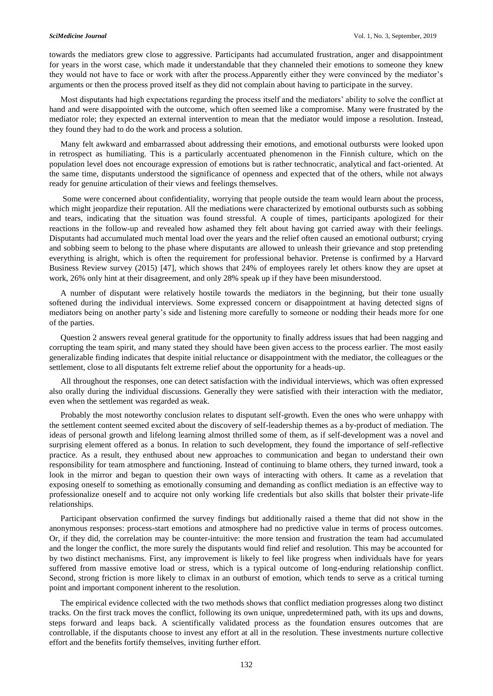towards the mediators grew close to aggressive. Participants had accumulated frustration, anger and disappointment for years in the worst case, which made it understandable that they channeled their emotions to someone they knew they would not have to face or work with after the process.Apparently either they were convinced by the mediator's arguments or then the process proved itself as they did not complain about having to participate in the survey.

Most disputants had high expectations regarding the process itself and the mediators' ability to solve the conflict at hand and were disappointed with the outcome, which often seemed like a compromise. Many were frustrated by the mediator role; they expected an external intervention to mean that the mediator would impose a resolution. Instead, they found they had to do the work and process a solution.

Many felt awkward and embarrassed about addressing their emotions, and emotional outbursts were looked upon in retrospect as humiliating. This is a particularly accentuated phenomenon in the Finnish culture, which on the population level does not encourage expression of emotions but is rather technocratic, analytical and fact-oriented. At the same time, disputants understood the significance of openness and expected that of the others, while not always ready for genuine articulation of their views and feelings themselves.

Some were concerned about confidentiality, worrying that people outside the team would learn about the process, which might jeopardize their reputation. All the mediations were characterized by emotional outbursts such as sobbing and tears, indicating that the situation was found stressful. A couple of times, participants apologized for their reactions in the follow-up and revealed how ashamed they felt about having got carried away with their feelings. Disputants had accumulated much mental load over the years and the relief often caused an emotional outburst; crying and sobbing seem to belong to the phase where disputants are allowed to unleash their grievance and stop pretending everything is alright, which is often the requirement for professional behavior. Pretense is confirmed by a Harvard Business Review survey (2015) [47], which shows that 24% of employees rarely let others know they are upset at work, 26% only hint at their disagreement, and only 28% speak up if they have been misunderstood.

A number of disputant were relatively hostile towards the mediators in the beginning, but their tone usually softened during the individual interviews. Some expressed concern or disappointment at having detected signs of mediators being on another party's side and listening more carefully to someone or nodding their heads more for one of the parties.

Question 2 answers reveal general gratitude for the opportunity to finally address issues that had been nagging and corrupting the team spirit, and many stated they should have been given access to the process earlier. The most easily generalizable finding indicates that despite initial reluctance or disappointment with the mediator, the colleagues or the settlement, close to all disputants felt extreme relief about the opportunity for a heads-up.

All throughout the responses, one can detect satisfaction with the individual interviews, which was often expressed also orally during the individual discussions. Generally they were satisfied with their interaction with the mediator, even when the settlement was regarded as weak.

Probably the most noteworthy conclusion relates to disputant self-growth. Even the ones who were unhappy with the settlement content seemed excited about the discovery of self-leadership themes as a by-product of mediation. The ideas of personal growth and lifelong learning almost thrilled some of them, as if self-development was a novel and surprising element offered as a bonus. In relation to such development, they found the importance of self-reflective practice. As a result, they enthused about new approaches to communication and began to understand their own responsibility for team atmosphere and functioning. Instead of continuing to blame others, they turned inward, took a look in the mirror and began to question their own ways of interacting with others. It came as a revelation that exposing oneself to something as emotionally consuming and demanding as conflict mediation is an effective way to professionalize oneself and to acquire not only working life credentials but also skills that bolster their private-life relationships.

Participant observation confirmed the survey findings but additionally raised a theme that did not show in the anonymous responses: process-start emotions and atmosphere had no predictive value in terms of process outcomes. Or, if they did, the correlation may be counter-intuitive: the more tension and frustration the team had accumulated and the longer the conflict, the more surely the disputants would find relief and resolution. This may be accounted for by two distinct mechanisms. First, any improvement is likely to feel like progress when individuals have for years suffered from massive emotive load or stress, which is a typical outcome of long-enduring relationship conflict. Second, strong friction is more likely to climax in an outburst of emotion, which tends to serve as a critical turning point and important component inherent to the resolution.

The empirical evidence collected with the two methods shows that conflict mediation progresses along two distinct tracks. On the first track moves the conflict, following its own unique, unpredetermined path, with its ups and downs, steps forward and leaps back. A scientifically validated process as the foundation ensures outcomes that are controllable, if the disputants choose to invest any effort at all in the resolution. These investments nurture collective effort and the benefits fortify themselves, inviting further effort.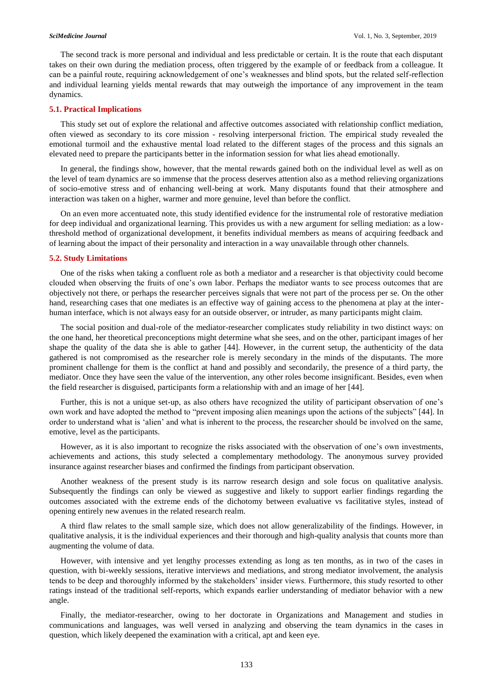The second track is more personal and individual and less predictable or certain. It is the route that each disputant takes on their own during the mediation process, often triggered by the example of or feedback from a colleague. It can be a painful route, requiring acknowledgement of one's weaknesses and blind spots, but the related self-reflection and individual learning yields mental rewards that may outweigh the importance of any improvement in the team dynamics.

### **5.1. Practical Implications**

This study set out of explore the relational and affective outcomes associated with relationship conflict mediation, often viewed as secondary to its core mission - resolving interpersonal friction. The empirical study revealed the emotional turmoil and the exhaustive mental load related to the different stages of the process and this signals an elevated need to prepare the participants better in the information session for what lies ahead emotionally.

In general, the findings show, however, that the mental rewards gained both on the individual level as well as on the level of team dynamics are so immense that the process deserves attention also as a method relieving organizations of socio-emotive stress and of enhancing well-being at work. Many disputants found that their atmosphere and interaction was taken on a higher, warmer and more genuine, level than before the conflict.

On an even more accentuated note, this study identified evidence for the instrumental role of restorative mediation for deep individual and organizational learning. This provides us with a new argument for selling mediation: as a lowthreshold method of organizational development, it benefits individual members as means of acquiring feedback and of learning about the impact of their personality and interaction in a way unavailable through other channels.

### **5.2. Study Limitations**

One of the risks when taking a confluent role as both a mediator and a researcher is that objectivity could become clouded when observing the fruits of one's own labor. Perhaps the mediator wants to see process outcomes that are objectively not there, or perhaps the researcher perceives signals that were not part of the process per se. On the other hand, researching cases that one mediates is an effective way of gaining access to the phenomena at play at the interhuman interface, which is not always easy for an outside observer, or intruder, as many participants might claim.

The social position and dual-role of the mediator-researcher complicates study reliability in two distinct ways: on the one hand, her theoretical preconceptions might determine what she sees, and on the other, participant images of her shape the quality of the data she is able to gather [44]. However, in the current setup, the authenticity of the data gathered is not compromised as the researcher role is merely secondary in the minds of the disputants. The more prominent challenge for them is the conflict at hand and possibly and secondarily, the presence of a third party, the mediator. Once they have seen the value of the intervention, any other roles become insignificant. Besides, even when the field researcher is disguised, participants form a relationship with and an image of her [44].

Further, this is not a unique set-up, as also others have recognized the utility of participant observation of one's own work and have adopted the method to "prevent imposing alien meanings upon the actions of the subjects" [44]. In order to understand what is 'alien' and what is inherent to the process, the researcher should be involved on the same, emotive, level as the participants.

However, as it is also important to recognize the risks associated with the observation of one's own investments, achievements and actions, this study selected a complementary methodology. The anonymous survey provided insurance against researcher biases and confirmed the findings from participant observation.

Another weakness of the present study is its narrow research design and sole focus on qualitative analysis. Subsequently the findings can only be viewed as suggestive and likely to support earlier findings regarding the outcomes associated with the extreme ends of the dichotomy between evaluative vs facilitative styles, instead of opening entirely new avenues in the related research realm.

A third flaw relates to the small sample size, which does not allow generalizability of the findings. However, in qualitative analysis, it is the individual experiences and their thorough and high-quality analysis that counts more than augmenting the volume of data.

However, with intensive and yet lengthy processes extending as long as ten months, as in two of the cases in question, with bi-weekly sessions, iterative interviews and mediations, and strong mediator involvement, the analysis tends to be deep and thoroughly informed by the stakeholders' insider views. Furthermore, this study resorted to other ratings instead of the traditional self-reports, which expands earlier understanding of mediator behavior with a new angle.

Finally, the mediator-researcher, owing to her doctorate in Organizations and Management and studies in communications and languages, was well versed in analyzing and observing the team dynamics in the cases in question, which likely deepened the examination with a critical, apt and keen eye.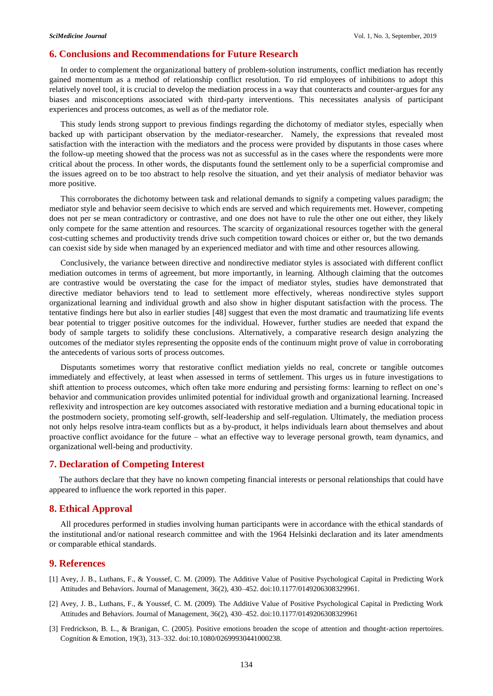# **6. Conclusions and Recommendations for Future Research**

In order to complement the organizational battery of problem-solution instruments, conflict mediation has recently gained momentum as a method of relationship conflict resolution. To rid employees of inhibitions to adopt this relatively novel tool, it is crucial to develop the mediation process in a way that counteracts and counter-argues for any biases and misconceptions associated with third-party interventions. This necessitates analysis of participant experiences and process outcomes, as well as of the mediator role.

This study lends strong support to previous findings regarding the dichotomy of mediator styles, especially when backed up with participant observation by the mediator-researcher. Namely, the expressions that revealed most satisfaction with the interaction with the mediators and the process were provided by disputants in those cases where the follow-up meeting showed that the process was not as successful as in the cases where the respondents were more critical about the process. In other words, the disputants found the settlement only to be a superficial compromise and the issues agreed on to be too abstract to help resolve the situation, and yet their analysis of mediator behavior was more positive.

This corroborates the dichotomy between task and relational demands to signify a competing values paradigm; the mediator style and behavior seem decisive to which ends are served and which requirements met. However, competing does not per se mean contradictory or contrastive, and one does not have to rule the other one out either, they likely only compete for the same attention and resources. The scarcity of organizational resources together with the general cost-cutting schemes and productivity trends drive such competition toward choices or either or, but the two demands can coexist side by side when managed by an experienced mediator and with time and other resources allowing.

Conclusively, the variance between directive and nondirective mediator styles is associated with different conflict mediation outcomes in terms of agreement, but more importantly, in learning. Although claiming that the outcomes are contrastive would be overstating the case for the impact of mediator styles, studies have demonstrated that directive mediator behaviors tend to lead to settlement more effectively, whereas nondirective styles support organizational learning and individual growth and also show in higher disputant satisfaction with the process. The tentative findings here but also in earlier studies [48] suggest that even the most dramatic and traumatizing life events bear potential to trigger positive outcomes for the individual. However, further studies are needed that expand the body of sample targets to solidify these conclusions. Alternatively, a comparative research design analyzing the outcomes of the mediator styles representing the opposite ends of the continuum might prove of value in corroborating the antecedents of various sorts of process outcomes.

Disputants sometimes worry that restorative conflict mediation yields no real, concrete or tangible outcomes immediately and effectively, at least when assessed in terms of settlement. This urges us in future investigations to shift attention to process outcomes, which often take more enduring and persisting forms: learning to reflect on one's behavior and communication provides unlimited potential for individual growth and organizational learning. Increased reflexivity and introspection are key outcomes associated with restorative mediation and a burning educational topic in the postmodern society, promoting self-growth, self-leadership and self-regulation. Ultimately, the mediation process not only helps resolve intra-team conflicts but as a by-product, it helps individuals learn about themselves and about proactive conflict avoidance for the future – what an effective way to leverage personal growth, team dynamics, and organizational well-being and productivity.

# **7. Declaration of Competing Interest**

The authors declare that they have no known competing financial interests or personal relationships that could have appeared to influence the work reported in this paper.

## **8. Ethical Approval**

All procedures performed in studies involving human participants were in accordance with the ethical standards of the institutional and/or national research committee and with the 1964 Helsinki declaration and its later amendments or comparable ethical standards.

# **9. References**

- [1] Avey, J. B., Luthans, F., & Youssef, C. M. (2009). The Additive Value of Positive Psychological Capital in Predicting Work Attitudes and Behaviors. Journal of Management, 36(2), 430–452. doi:10.1177/0149206308329961.
- [2] Avey, J. B., Luthans, F., & Youssef, C. M. (2009). The Additive Value of Positive Psychological Capital in Predicting Work Attitudes and Behaviors. Journal of Management, 36(2), 430–452. doi:10.1177/0149206308329961
- [3] Fredrickson, B. L., & Branigan, C. (2005). Positive emotions broaden the scope of attention and thought-action repertoires. Cognition & Emotion, 19(3), 313–332. doi:10.1080/02699930441000238.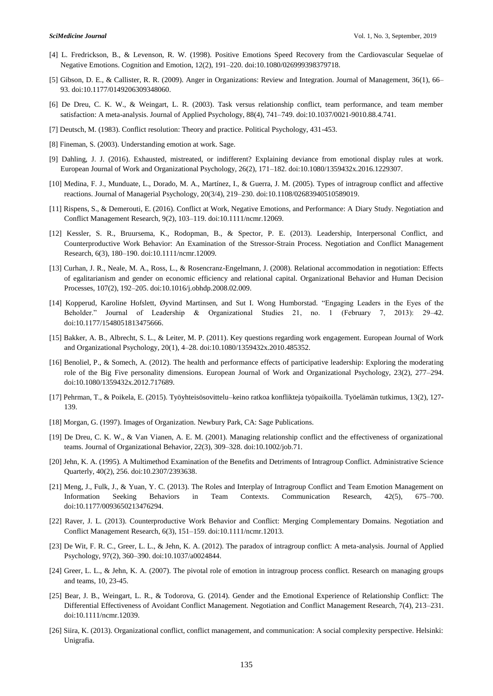- [4] L. Fredrickson, B., & Levenson, R. W. (1998). Positive Emotions Speed Recovery from the Cardiovascular Sequelae of Negative Emotions. Cognition and Emotion, 12(2), 191–220. doi:10.1080/026999398379718.
- [5] Gibson, D. E., & Callister, R. R. (2009). Anger in Organizations: Review and Integration. Journal of Management, 36(1), 66– 93. doi:10.1177/0149206309348060.
- [6] De Dreu, C. K. W., & Weingart, L. R. (2003). Task versus relationship conflict, team performance, and team member satisfaction: A meta-analysis. Journal of Applied Psychology, 88(4), 741–749. doi:10.1037/0021-9010.88.4.741.
- [7] Deutsch, M. (1983). Conflict resolution: Theory and practice. Political Psychology, 431-453.
- [8] Fineman, S. (2003). Understanding emotion at work. Sage.
- [9] Dahling, J. J. (2016). Exhausted, mistreated, or indifferent? Explaining deviance from emotional display rules at work. European Journal of Work and Organizational Psychology, 26(2), 171–182. doi:10.1080/1359432x.2016.1229307.
- [10] Medina, F. J., Munduate, L., Dorado, M. A., Martínez, I., & Guerra, J. M. (2005). Types of intragroup conflict and affective reactions. Journal of Managerial Psychology, 20(3/4), 219–230. doi:10.1108/02683940510589019.
- [11] Rispens, S., & Demerouti, E. (2016). Conflict at Work, Negative Emotions, and Performance: A Diary Study. Negotiation and Conflict Management Research, 9(2), 103–119. doi:10.1111/ncmr.12069.
- [12] Kessler, S. R., Bruursema, K., Rodopman, B., & Spector, P. E. (2013). Leadership, Interpersonal Conflict, and Counterproductive Work Behavior: An Examination of the Stressor-Strain Process. Negotiation and Conflict Management Research, 6(3), 180–190. doi:10.1111/ncmr.12009.
- [13] Curhan, J. R., Neale, M. A., Ross, L., & Rosencranz-Engelmann, J. (2008). Relational accommodation in negotiation: Effects of egalitarianism and gender on economic efficiency and relational capital. Organizational Behavior and Human Decision Processes, 107(2), 192–205. doi:10.1016/j.obhdp.2008.02.009.
- [14] Kopperud, Karoline Hofslett, Øyvind Martinsen, and Sut I. Wong Humborstad. "Engaging Leaders in the Eyes of the Beholder." Journal of Leadership & Organizational Studies 21, no. 1 (February 7, 2013): 29–42. doi:10.1177/1548051813475666.
- [15] Bakker, A. B., Albrecht, S. L., & Leiter, M. P. (2011). Key questions regarding work engagement. European Journal of Work and Organizational Psychology, 20(1), 4–28. doi:10.1080/1359432x.2010.485352.
- [16] Benoliel, P., & Somech, A. (2012). The health and performance effects of participative leadership: Exploring the moderating role of the Big Five personality dimensions. European Journal of Work and Organizational Psychology, 23(2), 277–294. doi:10.1080/1359432x.2012.717689.
- [17] Pehrman, T., & Poikela, E. (2015). Työyhteisösovittelu–keino ratkoa konflikteja työpaikoilla. Työelämän tutkimus, 13(2), 127- 139.
- [18] Morgan, G. (1997). Images of Organization. Newbury Park, CA: Sage Publications.
- [19] De Dreu, C. K. W., & Van Vianen, A. E. M. (2001). Managing relationship conflict and the effectiveness of organizational teams. Journal of Organizational Behavior, 22(3), 309–328. doi:10.1002/job.71.
- [20] Jehn, K. A. (1995). A Multimethod Examination of the Benefits and Detriments of Intragroup Conflict. Administrative Science Quarterly, 40(2), 256. doi:10.2307/2393638.
- [21] Meng, J., Fulk, J., & Yuan, Y. C. (2013). The Roles and Interplay of Intragroup Conflict and Team Emotion Management on Information Seeking Behaviors in Team Contexts. Communication Research, 42(5), 675–700. doi:10.1177/0093650213476294.
- [22] Raver, J. L. (2013). Counterproductive Work Behavior and Conflict: Merging Complementary Domains. Negotiation and Conflict Management Research, 6(3), 151–159. doi:10.1111/ncmr.12013.
- [23] De Wit, F. R. C., Greer, L. L., & Jehn, K. A. (2012). The paradox of intragroup conflict: A meta-analysis. Journal of Applied Psychology, 97(2), 360–390. doi:10.1037/a0024844.
- [24] Greer, L. L., & Jehn, K. A. (2007). The pivotal role of emotion in intragroup process conflict. Research on managing groups and teams, 10, 23-45.
- [25] Bear, J. B., Weingart, L. R., & Todorova, G. (2014). Gender and the Emotional Experience of Relationship Conflict: The Differential Effectiveness of Avoidant Conflict Management. Negotiation and Conflict Management Research, 7(4), 213–231. doi:10.1111/ncmr.12039.
- [26] Siira, K. (2013). Organizational conflict, conflict management, and communication: A social complexity perspective. Helsinki: Unigrafia.